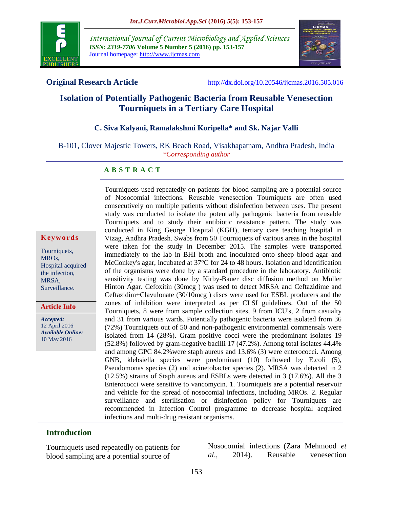

*International Journal of Current Microbiology and Applied Sciences ISSN: 2319-7706* **Volume 5 Number 5 (2016) pp. 153-157** Journal homepage: http://www.ijcmas.com



**Original Research Article** <http://dx.doi.org/10.20546/ijcmas.2016.505.016>

# **Isolation of Potentially Pathogenic Bacteria from Reusable Venesection Tourniquets in a Tertiary Care Hospital**

#### **C. Siva Kalyani, Ramalakshmi Koripella\* and Sk. Najar Valli**

B-101, Clover Majestic Towers, RK Beach Road, Visakhapatnam, Andhra Pradesh, India *\*Corresponding author*

#### **A B S T R A C T**

#### **K e y w o r d s**

Tourniquets, MROs, Hospital acquired the infection, MRSA, Surveillance.

**Article Info**

*Accepted:*  12 April 2016 *Available Online:* 10 May 2016

Tourniquets used repeatedly on patients for blood sampling are a potential source of Nosocomial infections. Reusable venesection Tourniquets are often used consecutively on multiple patients without disinfection between uses. The present study was conducted to isolate the potentially pathogenic bacteria from reusable Tourniquets and to study their antibiotic resistance pattern. The study was conducted in King George Hospital (KGH), tertiary care teaching hospital in Vizag, Andhra Pradesh. Swabs from 50 Tourniquets of various areas in the hospital were taken for the study in December 2015. The samples were transported immediately to the lab in BHI broth and inoculated onto sheep blood agar and McConkey's agar, incubated at 37°C for 24 to 48 hours. Isolation and identification of the organisms were done by a standard procedure in the laboratory. Antibiotic sensitivity testing was done by Kirby-Bauer disc diffusion method on Muller Hinton Agar. Cefoxitin (30mcg ) was used to detect MRSA and Ceftazidime and Ceftazidim+Clavulonate (30/10mcg ) discs were used for ESBL producers and the zones of inhibition were interpreted as per CLSI guidelines. Out of the 50 Tourniquets, 8 were from sample collection sites, 9 from ICU's, 2 from casualty and 31 from various wards. Potentially pathogenic bacteria were isolated from 36 (72%) Tourniquets out of 50 and non-pathogenic environmental commensals were isolated from 14 (28%). Gram positive cocci were the predominant isolates 19 (52.8%) followed by gram-negative bacilli 17 (47.2%). Among total isolates 44.4% and among GPC 84.2%were staph aureus and 13.6% (3) were enterococci. Among GNB, klebsiella species were predominant (10) followed by E.coli (5), Pseudomonas species (2) and acinetobacter species (2). MRSA was detected in 2 (12.5%) strains of Staph aureus and ESBLs were detected in 3 (17.6%). All the 3 Enterococci were sensitive to vancomycin. 1. Tourniquets are a potential reservoir and vehicle for the spread of nosocomial infections, including MROs. 2. Regular surveillance and sterilisation or disinfection policy for Tourniquets are recommended in Infection Control programme to decrease hospital acquired infections and multi-drug resistant organisms.

#### **Introduction**

Tourniquets used repeatedly on patients for blood sampling are a potential source of

Nosocomial infections (Zara Mehmood *et al*., 2014). Reusable venesection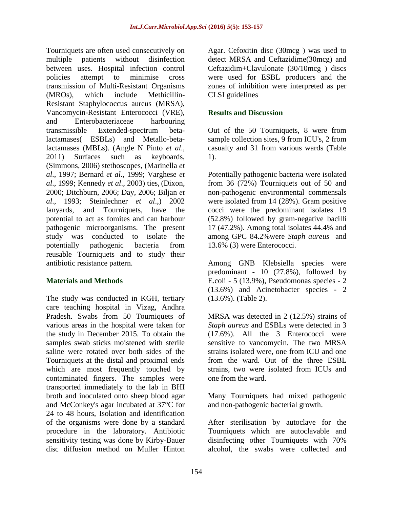Tourniquets are often used consecutively on multiple patients without disinfection between uses. Hospital infection control policies attempt to minimise cross transmission of Multi-Resistant Organisms (MROs), which include Methicillin-Resistant Staphylococcus aureus (MRSA), Vancomycin-Resistant Enterococci (VRE), and Enterobacteriaceae harbouring transmissible Extended-spectrum betalactamases( ESBLs) and Metallo-betalactamases (MBLs). (Angle N Pinto *et al*., 2011) Surfaces such as keyboards, (Simmons, 2006) stethoscopes, (Marinella *et al*., 1997; Bernard *et al*., 1999; Varghese *et al*., 1999; Kennedy *et al*., 2003) ties, (Dixon, 2000; Ditchburn, 2006; Day, 2006; Biljan *et al*., 1993; Steinlechner *et al*.,) 2002 lanyards, and Tourniquets, have the potential to act as fomites and can harbour pathogenic microorganisms. The present study was conducted to isolate the potentially pathogenic bacteria from reusable Tourniquets and to study their antibiotic resistance pattern.

## **Materials and Methods**

The study was conducted in KGH, tertiary care teaching hospital in Vizag, Andhra Pradesh. Swabs from 50 Tourniquets of various areas in the hospital were taken for the study in December 2015. To obtain the samples swab sticks moistened with sterile saline were rotated over both sides of the Tourniquets at the distal and proximal ends which are most frequently touched by contaminated fingers. The samples were transported immediately to the lab in BHI broth and inoculated onto sheep blood agar and McConkey's agar incubated at 37°C for 24 to 48 hours, Isolation and identification of the organisms were done by a standard procedure in the laboratory. Antibiotic sensitivity testing was done by Kirby-Bauer disc diffusion method on Muller Hinton

Agar. Cefoxitin disc (30mcg ) was used to detect MRSA and Ceftazidime(30mcg) and Ceftazidim+Clavulonate (30/10mcg ) discs were used for ESBL producers and the zones of inhibition were interpreted as per CLSI guidelines

#### **Results and Discussion**

Out of the 50 Tourniquets, 8 were from sample collection sites, 9 from ICU's, 2 from casualty and 31 from various wards (Table 1).

Potentially pathogenic bacteria were isolated from 36 (72%) Tourniquets out of 50 and non-pathogenic environmental commensals were isolated from 14 (28%). Gram positive cocci were the predominant isolates 19 (52.8%) followed by gram-negative bacilli 17 (47.2%). Among total isolates 44.4% and among GPC 84.2%were *Staph aureus* and 13.6% (3) were Enterococci.

Among GNB Klebsiella species were predominant - 10 (27.8%), followed by E.coli - 5 (13.9%), Pseudomonas species - 2 (13.6%) and Acinetobacter species - 2 (13.6%). (Table 2).

MRSA was detected in 2 (12.5%) strains of *Staph aureus* and ESBLs were detected in 3 (17.6%). All the 3 Enterococci were sensitive to vancomycin. The two MRSA strains isolated were, one from ICU and one from the ward. Out of the three ESBL strains, two were isolated from ICUs and one from the ward.

Many Tourniquets had mixed pathogenic and non-pathogenic bacterial growth.

After sterilisation by autoclave for the Tourniquets which are autoclavable and disinfecting other Tourniquets with 70% alcohol, the swabs were collected and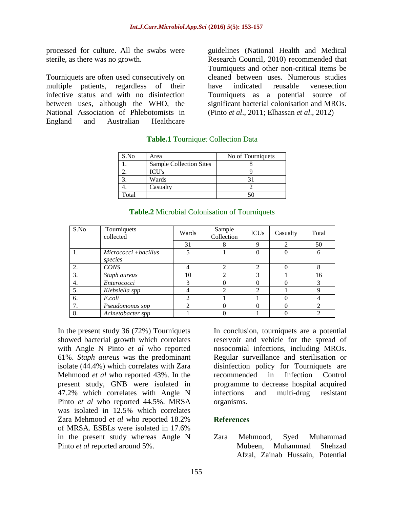processed for culture. All the swabs were sterile, as there was no growth.

Tourniquets are often used consecutively on multiple patients, regardless of their infective status and with no disinfection between uses, although the WHO, the National Association of Phlebotomists in England and Australian Healthcare

guidelines (National Health and Medical Research Council, 2010) recommended that Tourniquets and other non-critical items be cleaned between uses. Numerous studies have indicated reusable venesection Tourniquets as a potential source of significant bacterial colonisation and MROs. (Pinto *et al*., 2011; Elhassan *et al*., 2012)

| S.No  | Area                           | No of Tourniquets |
|-------|--------------------------------|-------------------|
|       | <b>Sample Collection Sites</b> |                   |
|       | <b>ICU's</b>                   |                   |
|       | Wards                          |                   |
|       | Casualty                       |                   |
| Total |                                |                   |

#### **Table.1** Tourniquet Collection Data

| S.No | Tourniquets<br>collected        | Wards | Sample<br>Collection | <b>ICUs</b>   | Casualty | Total          |
|------|---------------------------------|-------|----------------------|---------------|----------|----------------|
|      |                                 | 31    |                      | Q             |          | 50             |
|      | Micrococci +bacillus<br>species | 5     |                      |               |          | 6              |
| 2.   | <b>CONS</b>                     | 4     | ↑                    | $\mathcal{D}$ |          | 8              |
| 3.   | Staph aureus                    | 10    | 2                    |               |          | 16             |
| 4.   | Enterococci                     | 3     |                      |               |          |                |
| 5.   | Klebsiella spp                  |       | ∍                    | ↑             |          | q              |
| 6.   | E.coli                          | っ     |                      |               |          |                |
|      | Pseudomonas spp                 | ↑     |                      |               |          | $\mathfrak{D}$ |
| 8.   | Acinetobacter spp               |       |                      |               |          |                |

#### **Table.2** Microbial Colonisation of Tourniquets

In the present study 36 (72%) Tourniquets showed bacterial growth which correlates with Angle N Pinto *et al* who reported 61%. *Staph aureus* was the predominant isolate (44.4%) which correlates with Zara Mehmood *et al* who reported 43%. In the present study, GNB were isolated in 47.2% which correlates with Angle N Pinto *et al* who reported 44.5%. MRSA was isolated in 12.5% which correlates Zara Mehmood *et al* who reported 18.2% of MRSA. ESBLs were isolated in 17.6% in the present study whereas Angle N Pinto *et al* reported around 5%.

In conclusion, tourniquets are a potential reservoir and vehicle for the spread of nosocomial infections, including MROs. Regular surveillance and sterilisation or disinfection policy for Tourniquets are recommended in Infection Control programme to decrease hospital acquired infections and multi-drug resistant organisms.

## **References**

Zara Mehmood, Syed Muhammad Mubeen, Muhammad Shehzad Afzal, Zainab Hussain, Potential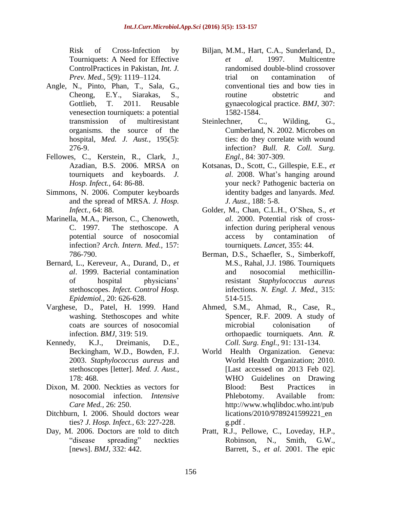Risk of Cross-Infection by Tourniquets: A Need for Effective ControlPractices in Pakistan, *Int. J. Prev. Med.,* 5(9): 1119–1124.

- Angle, N., Pinto, Phan, T., Sala, G., Cheong, E.Y., Siarakas, S., Gottlieb, T. 2011. Reusable venesection tourniquets: a potential transmission of multiresistant organisms. the source of the hospital, *Med. J. Aust.,* 195(5): 276-9.
- Fellowes, C., Kerstein, R., Clark, J., Azadian, B.S. 2006. MRSA on tourniquets and keyboards. *J. Hosp. Infect.,* 64: 86-88.
- Simmons, N. 2006. Computer keyboards and the spread of MRSA. *J. Hosp. Infect.,* 64: 88.
- Marinella, M.A., Pierson, C., Chenoweth, C. 1997. The stethoscope. A potential source of nosocomial infection? *Arch. Intern. Med.,* 157: 786-790.
- Bernard, L., Kereveur, A., Durand, D., *et al*. 1999. Bacterial contamination of hospital physicians' stethoscopes. *Infect. Control Hosp. Epidemiol.,* 20: 626-628.
- Varghese, D., Patel, H. 1999. Hand washing. Stethoscopes and white coats are sources of nosocomial infection. *BMJ,* 319: 519.
- Kennedy, K.J., Dreimanis, D.E., Beckingham, W.D., Bowden, F.J. 2003. *Staphylococcus aureus* and stethoscopes [letter]. *Med. J. Aust.,* 178: 468.
- Dixon, M. 2000. Neckties as vectors for nosocomial infection. *Intensive Care Med.,* 26: 250.
- Ditchburn, I. 2006. Should doctors wear ties? *J. Hosp. Infect.,* 63: 227-228.
- Day, M. 2006. Doctors are told to ditch "disease spreading" neckties [news]. *BMJ,* 332: 442.
- Biljan, M.M., Hart, C.A., Sunderland, D., *et al*. 1997. Multicentre randomised double-blind crossover trial on contamination of conventional ties and bow ties in routine obstetric and gynaecological practice. *BMJ*, 307: 1582-1584.
- Steinlechner, C., Wilding, G., Cumberland, N. 2002. Microbes on ties: do they correlate with wound infection? *Bull. R. Coll. Surg. Engl.,* 84: 307-309.
- Kotsanas, D., Scott, C., Gillespie, E.E., *et al*. 2008. What's hanging around your neck? Pathogenic bacteria on identity badges and lanyards. *Med. J. Aust.,* 188: 5-8.
- Golder, M., Chan, C.L.H., O'Shea, S., *et al*. 2000. Potential risk of crossinfection during peripheral venous access by contamination of tourniquets. *Lancet,* 355: 44.
- Berman, D.S., Schaefler, S., Simberkoff, M.S., Rahal, J.J. 1986. Tourniquets and nosocomial methicillinresistant *Staphylococcus aureus* infections. *N. Engl. J. Med.,* 315: 514-515.
- Ahmed, S.M., Ahmad, R., Case, R., Spencer, R.F. 2009. A study of microbial colonisation of orthopaedic tourniquets. *Ann. R. Coll. Surg. Engl.,* 91: 131-134.
- World Health Organization. Geneva: World Health Organization; 2010. [Last accessed on 2013 Feb 02]. WHO Guidelines on Drawing Blood: Best Practices in Phlebotomy. Available from: http://www.whqlibdoc.who.int/pub lications/2010/9789241599221\_en g.pdf .
- Pratt, R.J., Pellowe, C., Loveday, H.P., Robinson, N., Smith, G.W., Barrett, S., *et al*. 2001. The epic